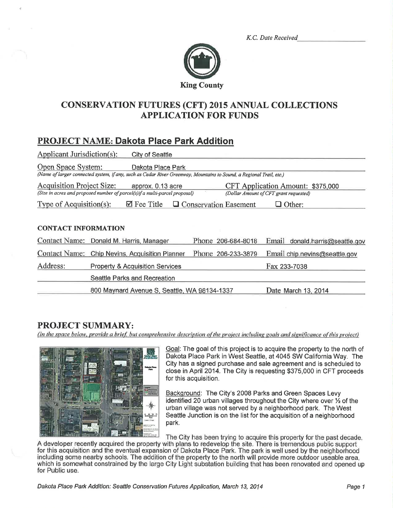K.C. Date Received



## **CONSERVATION FUTURES (CFT) 2015 ANNUAL COLLECTIONS APPLICATION FOR FUNDS**

# **PROJECT NAME: Dakota Place Park Addition**

| Applicant Jurisdiction(s):                                                                                           | City of Seattle                                                                                                     |                              |                                   |  |  |  |
|----------------------------------------------------------------------------------------------------------------------|---------------------------------------------------------------------------------------------------------------------|------------------------------|-----------------------------------|--|--|--|
| Open Space System:                                                                                                   | Dakota Place Park                                                                                                   |                              |                                   |  |  |  |
|                                                                                                                      | (Name of larger connected system, if any, such as Cedar River Greenway, Mountains to Sound, a Regional Trail, etc.) |                              |                                   |  |  |  |
| <b>Acquisition Project Size:</b><br>approx. 0.13 acre                                                                |                                                                                                                     |                              | CFT Application Amount: \$375,000 |  |  |  |
| (Size in acres and proposed number of parcel(s)if a multi-parcel proposal)<br>(Dollar Amount of CFT grant requested) |                                                                                                                     |                              |                                   |  |  |  |
| Type of Acquisition(s):                                                                                              | $\mathbf{\mathbb{Z}}$ Fee Title                                                                                     | $\Box$ Conservation Easement | Other:                            |  |  |  |
| <b>CONTACT INFORMATION</b>                                                                                           |                                                                                                                     |                              |                                   |  |  |  |
|                                                                                                                      | Contact Name: Donald M. Harris, Manager                                                                             | Phone 206-684-8018           | Email donald.harris@seattle.gov   |  |  |  |
|                                                                                                                      | Contact Name: Chip Nevins, Acquisition Planner                                                                      | Phone 206-233-3879           | Email chip.nevins@seattle.gov     |  |  |  |
| Address:                                                                                                             | <b>Property &amp; Acquisition Services</b>                                                                          |                              | Fax 233-7038                      |  |  |  |
|                                                                                                                      | Seattle Parks and Recreation                                                                                        |                              |                                   |  |  |  |
|                                                                                                                      | 800 Maynard Avenue S, Seattle, WA 98134-1337                                                                        |                              | Date March 13, 2014               |  |  |  |

## **PROJECT SUMMARY:**

(In the space below, provide a brief, but comprehensive description of the project including goals and significance of this project)



Goal: The goal of this project is to acquire the property to the north of Dakota Place Park in West Seattle, at 4045 SW California Way. The City has a signed purchase and sale agreement and is scheduled to close in April 2014. The City is requesting \$375,000 in CFT proceeds for this acquisition.

Background: The City's 2008 Parks and Green Spaces Levy identified 20 urban villages throughout the City where over 1/2 of the urban village was not served by a neighborhood park. The West Seattle Junction is on the list for the acquisition of a neighborhood park.

The City has been trying to acquire this property for the past decade. A developer recently acquired the property with plans to redevelop the site. There is tremendous public support for this acquisition and the eventual expansion of Dakota Place Park. The park is well used by the neighborhood including some nearby schools. The addition of the property to the north will provide more outdoor useable area. which is somewhat constrained by the large City Light substation building that has been renovated and opened up for Public use.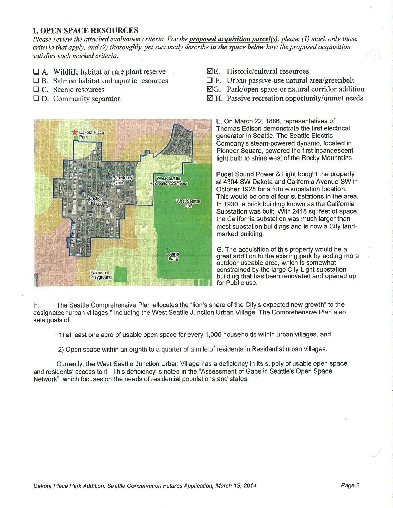#### 1. OPEN SPACE RESOURCES

Please review the attached evaluation criteria. For the **proposed acquisition parcel(s)**, please (1) mark only those criteria that apply, and (2) thoroughly, yet succinctly describe in the space below how the proposed acquisition satisfies each marked criteria.

- $\Box$  A. Wildlife habitat or rare plant reserve
- $\Box$  B. Salmon habitat and aquatic resources
- □ C. Scenic resources
- $\Box$  D. Community separator
- $\nabla E$ . Historic/cultural resources
- $\Box$  F. Urban passive-use natural area/greenbelt
- $\boxtimes$ G. Park/open space or natural corridor addition
- $\boxtimes$  H. Passive recreation opportunity/unmet needs



E. On March 22, 1886, representatives of Thomas Edison demonstrate the first electrical generator in Seattle. The Seattle Electric Company's steam-powered dynamo, located in Pioneer Square, powered the first incandescent light bulb to shine west of the Rocky Mountains.

Puget Sound Power & Light bought the property at4304 SW Dakota and California Avenue SW in October 1925 for a future substation location. This would be one of four substations in the area. ln 1930, a brick building known as the California Substation was built. With 2418 sq. feet of space the California substation was much larger than most substation buildings and is now a City landmarked building.

G. The acquisition of this property would be a great addition to the existing park by adding more outdoor useable area, which is somewhat constrained by the large City Light substation building that has been renovated and opened up for Public use.

H. The Seattle Comprehensive Plan allocates the "lion's share of the City's expected new growth" to the designated "urban villages," including the West Seattle Junction Urban Village. The Comprehensive Plan also sets goals of:

"1) at least one acre of usable open space for every 1 ,000 households within urban villages, and

2) Open space within an eighth to a quarter of a mile of residents in Residential urban villages.

Currently, the West Seattle Junction Urban Village has a deficiency in its supply of usable open space and residents' access to it. This deficiency is noted in the "Assessment of Gaps in Seattle's Open Space Network", which focuses on the needs of residential populations and states: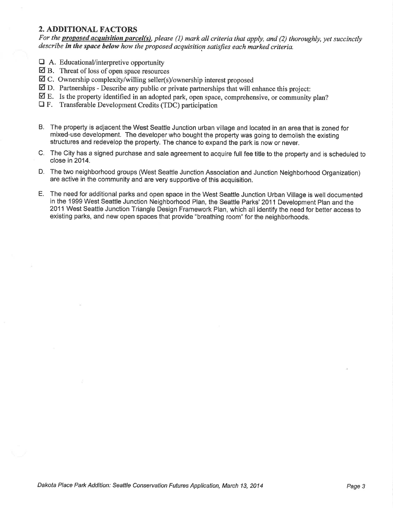#### 2. ADDITIONAL FACTORS

For the **proposed acquisition parcel(s)**, please (1) mark all criteria that apply, and (2) thoroughly, yet succinctly describe in the space below how the proposed acquisition satisfies each marked criteria.

- $\Box$  A. Educational/interpretive opportunity
- $\boxtimes$  B. Threat of loss of open space resources
- $\boxtimes$  C. Ownership complexity/willing seller(s)/ownership interest proposed
- $\boxtimes$  D. Partnerships Describe any public or private partnerships that will enhance this project:
- Ø B. Is the property identified in an adopted park, open space, comprehensive, or community plan?
- $\Box$  F. Transferable Development Credits (TDC) participation
- B. The property is adjacent the West Seattle Junction urban village and located in an area that is zoned for mixed-use development. The developer who bought the property was going to demolish the existing structures and redevelop the property. The chance to expand the park is now or never.
- C. The City has a signed purchase and sale agreement to acquire full fee title to the property and is scheduled to close in 2014.
- D. The two neighborhood groups (West Seattle Junction Association and Junction Neighborhood Organization) are active in the community and are very supportive of this acquisition.
- E. The need for additional parks and open space in the West Seattle Junction Urban Village is well documented in the 1999 West Seattle Junction Neighborhood Plan, the Seattle Parks' 2011 Development Plan and the 2011 West Seattle Junction Triangle Design Framework Plan, which all identify the need for better access to existing parks, and new open spaces that provide "breathing room" for the neighborhoods.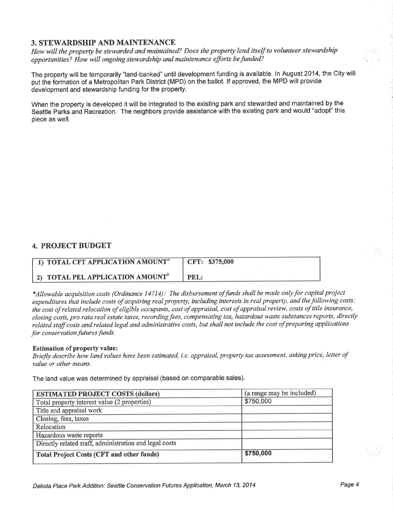#### 3. STEWARDSHIP AND MAINTENANCE

How will the property be stewarded and maintained? Does the property lend itself to volunteer stewardship opportunities? How will ongoing stewardship and maintenance efforts be funded?

The property will be temporarily "land-banked" until development funding is available. In August 2014, the City will put the formation of a Metropolitan Park District (MPD) on the ballot. lf approved, the MPD will provide development and stewardship funding for the property.

When the property ís developed it will be integrated to the existing park and stewarded and maintained by the Seattle Parks and Recreation. The neighbors provide assistance with the existing park and would "adopt" this piece as well.

#### 4. PROJECT BUDGET

| 1) TOTAL CFT APPLICATION AMOUNT <sup>a</sup> | CFT: \$375,000 |
|----------------------------------------------|----------------|
| 2) TOTAL PEL APPLICATION AMOUNT <sup>b</sup> | PEL:           |

\*Allowable acquisition costs (Ordinance 14714): The disbursement of funds shall be made only for capital project expenditures that include costs of acquiring real property, including interests in real property, and the following costs: the cost of related relocation of eligible occupants, cost of appraisal, cost of appraisal review, costs of title insurance, closing costs, pro rata real estate taxes, recording fees, compensating tax, hazardous waste substances reports, directly related staff costs and related legal and administrative costs, but shall not include the cost of preparing applications for conservation futures funds.

#### Estimation of property value:

Briefly describe how land values have been estimated, i.e. appraisal, property tax assessment, asking price, letter of value or other means.

The land value was determined by appraisal (based on comparable sales).

| <b>ESTIMATED PROJECT COSTS (dollars)</b>               | (a range may be included) |  |
|--------------------------------------------------------|---------------------------|--|
| Total property interest value (2 properties)           | \$750,000                 |  |
| Title and appraisal work                               |                           |  |
| Closing, fees, taxes                                   |                           |  |
| Relocation                                             |                           |  |
| Hazardous waste reports                                |                           |  |
| Directly related staff, administration and legal costs |                           |  |
| <b>Total Project Costs (CFT and other funds)</b>       | \$750,000                 |  |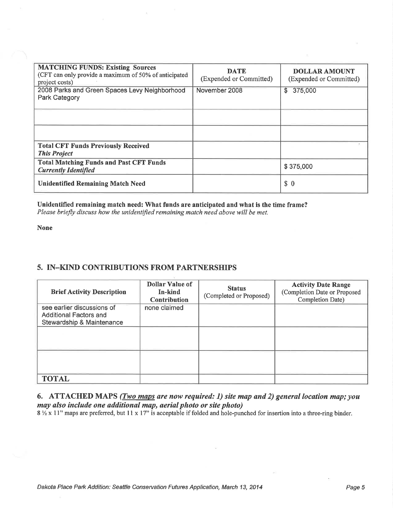| <b>MATCHING FUNDS: Existing Sources</b><br>(CFT can only provide a maximum of 50% of anticipated<br>project costs) | <b>DATE</b><br>(Expended or Committed) | <b>DOLLAR AMOUNT</b><br>(Expended or Committed) |
|--------------------------------------------------------------------------------------------------------------------|----------------------------------------|-------------------------------------------------|
| 2008 Parks and Green Spaces Levy Neighborhood<br>Park Category                                                     | November 2008                          | \$<br>375,000                                   |
|                                                                                                                    |                                        |                                                 |
|                                                                                                                    |                                        |                                                 |
| <b>Total CFT Funds Previously Received</b><br><b>This Project</b>                                                  |                                        |                                                 |
| <b>Total Matching Funds and Past CFT Funds</b><br><b>Currently Identified</b>                                      |                                        | \$375,000                                       |
| <b>Unidentified Remaining Match Need</b>                                                                           |                                        | \$0                                             |

#### Unidentified remaining match need: What funds are anticipated and what is the time frame? Please briefly discuss how the unidentified remaining match need above will be met.

None

### 5. IN\_KIND CONTRIBUTIONS FROM PARTNERSHIPS

| <b>Brief Activity Description</b>                                                        | <b>Dollar Value of</b><br>In-kind<br><b>Contribution</b> | <b>Status</b><br>(Completed or Proposed) | <b>Activity Date Range</b><br>(Completion Date or Proposed<br>Completion Date) |
|------------------------------------------------------------------------------------------|----------------------------------------------------------|------------------------------------------|--------------------------------------------------------------------------------|
| see earlier discussions of<br><b>Additional Factors and</b><br>Stewardship & Maintenance | none claimed                                             |                                          |                                                                                |
|                                                                                          |                                                          |                                          |                                                                                |
|                                                                                          |                                                          |                                          |                                                                                |
| <b>TOTAL</b>                                                                             |                                                          |                                          |                                                                                |

### 6. ATTACHED MAPS  $(Two\ maps\ are\ now\ required: 1)$  site map and 2) general location map; you may also include one additional map, aerial photo or site photo)

 $8\frac{1}{2}$  x 11" maps are preferred, but 11 x 17" is acceptable if folded and hole-punched for insertion into a three-ring binder.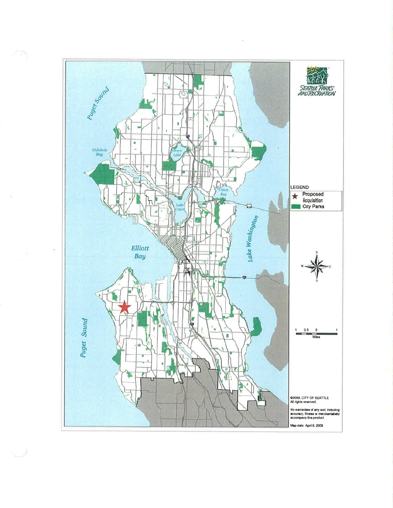

À

νy.

s J.